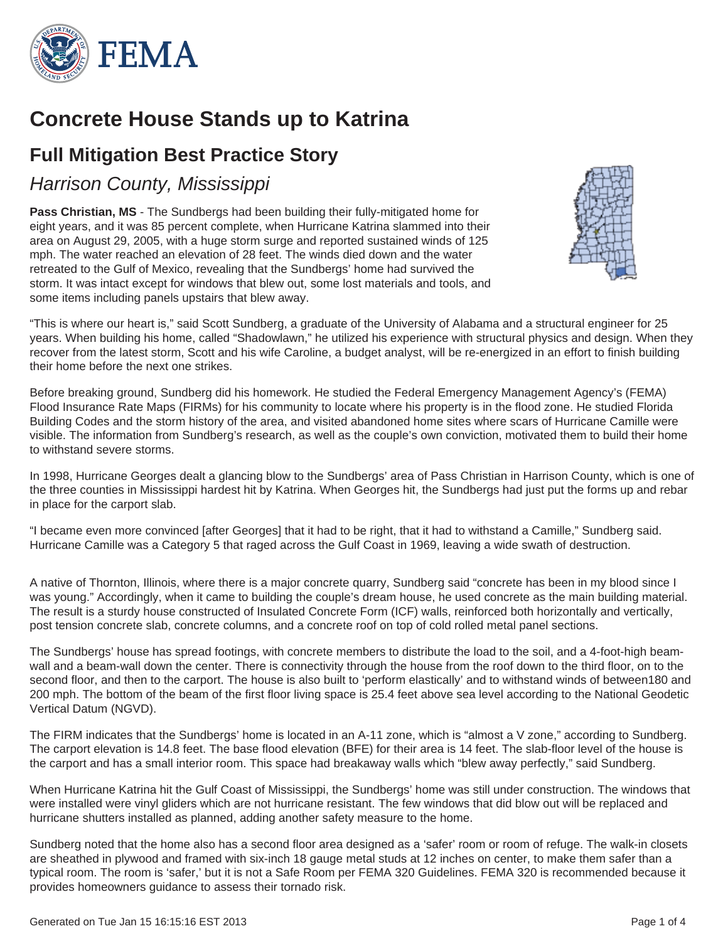

# **Concrete House Stands up to Katrina**

# **Full Mitigation Best Practice Story**

## *Harrison County, Mississippi*

**Pass Christian, MS** - The Sundbergs had been building their fully-mitigated home for eight years, and it was 85 percent complete, when Hurricane Katrina slammed into their area on August 29, 2005, with a huge storm surge and reported sustained winds of 125 mph. The water reached an elevation of 28 feet. The winds died down and the water retreated to the Gulf of Mexico, revealing that the Sundbergs' home had survived the storm. It was intact except for windows that blew out, some lost materials and tools, and some items including panels upstairs that blew away.



"This is where our heart is," said Scott Sundberg, a graduate of the University of Alabama and a structural engineer for 25 years. When building his home, called "Shadowlawn," he utilized his experience with structural physics and design. When they recover from the latest storm, Scott and his wife Caroline, a budget analyst, will be re-energized in an effort to finish building their home before the next one strikes.

Before breaking ground, Sundberg did his homework. He studied the Federal Emergency Management Agency's (FEMA) Flood Insurance Rate Maps (FIRMs) for his community to locate where his property is in the flood zone. He studied Florida Building Codes and the storm history of the area, and visited abandoned home sites where scars of Hurricane Camille were visible. The information from Sundberg's research, as well as the couple's own conviction, motivated them to build their home to withstand severe storms.

In 1998, Hurricane Georges dealt a glancing blow to the Sundbergs' area of Pass Christian in Harrison County, which is one of the three counties in Mississippi hardest hit by Katrina. When Georges hit, the Sundbergs had just put the forms up and rebar in place for the carport slab.

"I became even more convinced [after Georges] that it had to be right, that it had to withstand a Camille," Sundberg said. Hurricane Camille was a Category 5 that raged across the Gulf Coast in 1969, leaving a wide swath of destruction.

A native of Thornton, Illinois, where there is a major concrete quarry, Sundberg said "concrete has been in my blood since I was young." Accordingly, when it came to building the couple's dream house, he used concrete as the main building material. The result is a sturdy house constructed of Insulated Concrete Form (ICF) walls, reinforced both horizontally and vertically, post tension concrete slab, concrete columns, and a concrete roof on top of cold rolled metal panel sections.

The Sundbergs' house has spread footings, with concrete members to distribute the load to the soil, and a 4-foot-high beamwall and a beam-wall down the center. There is connectivity through the house from the roof down to the third floor, on to the second floor, and then to the carport. The house is also built to 'perform elastically' and to withstand winds of between180 and 200 mph. The bottom of the beam of the first floor living space is 25.4 feet above sea level according to the National Geodetic Vertical Datum (NGVD).

The FIRM indicates that the Sundbergs' home is located in an A-11 zone, which is "almost a V zone," according to Sundberg. The carport elevation is 14.8 feet. The base flood elevation (BFE) for their area is 14 feet. The slab-floor level of the house is the carport and has a small interior room. This space had breakaway walls which "blew away perfectly," said Sundberg.

When Hurricane Katrina hit the Gulf Coast of Mississippi, the Sundbergs' home was still under construction. The windows that were installed were vinyl gliders which are not hurricane resistant. The few windows that did blow out will be replaced and hurricane shutters installed as planned, adding another safety measure to the home.

Sundberg noted that the home also has a second floor area designed as a 'safer' room or room of refuge. The walk-in closets are sheathed in plywood and framed with six-inch 18 gauge metal studs at 12 inches on center, to make them safer than a typical room. The room is 'safer,' but it is not a Safe Room per FEMA 320 Guidelines. FEMA 320 is recommended because it provides homeowners guidance to assess their tornado risk.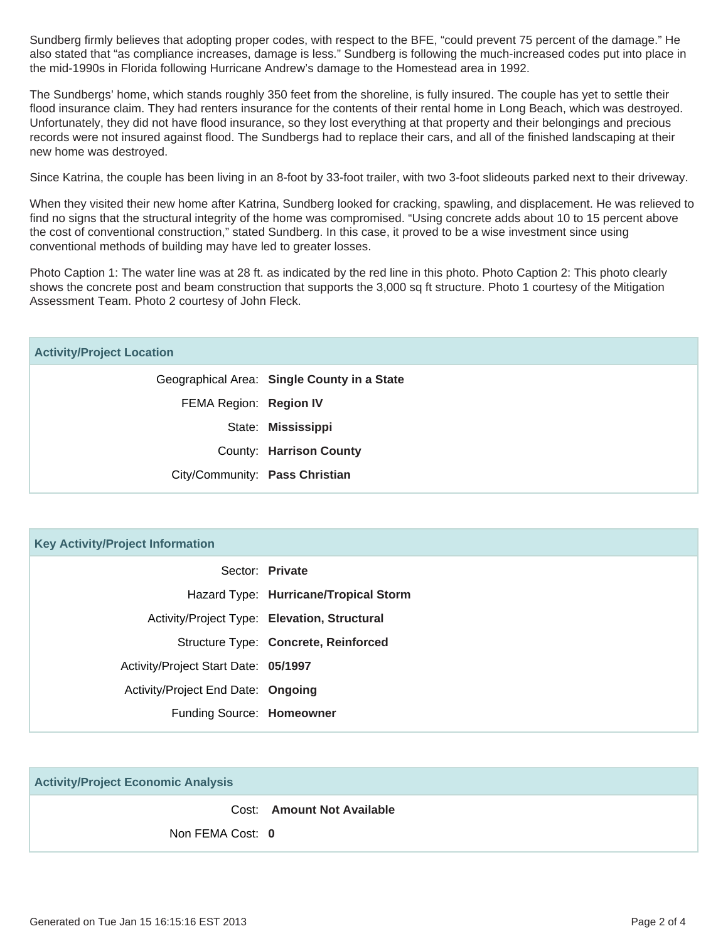Sundberg firmly believes that adopting proper codes, with respect to the BFE, "could prevent 75 percent of the damage." He also stated that "as compliance increases, damage is less." Sundberg is following the much-increased codes put into place in the mid-1990s in Florida following Hurricane Andrew's damage to the Homestead area in 1992.

The Sundbergs' home, which stands roughly 350 feet from the shoreline, is fully insured. The couple has yet to settle their flood insurance claim. They had renters insurance for the contents of their rental home in Long Beach, which was destroyed. Unfortunately, they did not have flood insurance, so they lost everything at that property and their belongings and precious records were not insured against flood. The Sundbergs had to replace their cars, and all of the finished landscaping at their new home was destroyed.

Since Katrina, the couple has been living in an 8-foot by 33-foot trailer, with two 3-foot slideouts parked next to their driveway.

When they visited their new home after Katrina, Sundberg looked for cracking, spawling, and displacement. He was relieved to find no signs that the structural integrity of the home was compromised. "Using concrete adds about 10 to 15 percent above the cost of conventional construction," stated Sundberg. In this case, it proved to be a wise investment since using conventional methods of building may have led to greater losses.

Photo Caption 1: The water line was at 28 ft. as indicated by the red line in this photo. Photo Caption 2: This photo clearly shows the concrete post and beam construction that supports the 3,000 sq ft structure. Photo 1 courtesy of the Mitigation Assessment Team. Photo 2 courtesy of John Fleck.

| <b>Key Activity/Project Information</b> |                                              |
|-----------------------------------------|----------------------------------------------|
|                                         | Sector: Private                              |
|                                         | Hazard Type: Hurricane/Tropical Storm        |
|                                         | Activity/Project Type: Elevation, Structural |
|                                         | Structure Type: Concrete, Reinforced         |
| Activity/Project Start Date: 05/1997    |                                              |
| Activity/Project End Date: Ongoing      |                                              |
| Funding Source: Homeowner               |                                              |

**Activity/Project Economic Analysis**

Cost: **Amount Not Available**

Non FEMA Cost: **0**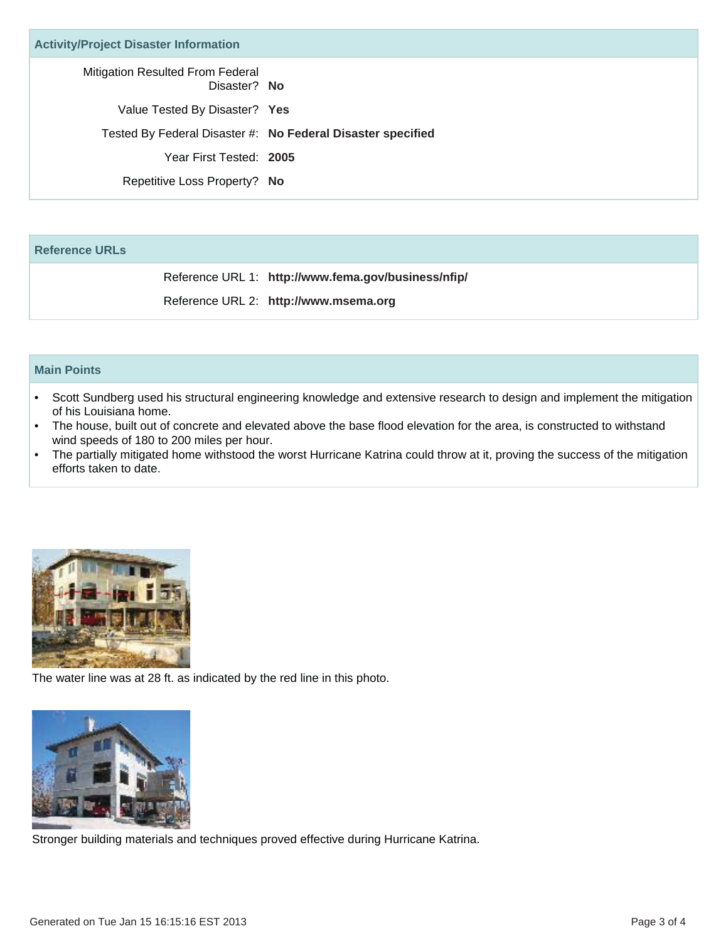| <b>Activity/Project Disaster Information</b>     |                                                             |
|--------------------------------------------------|-------------------------------------------------------------|
| Mitigation Resulted From Federal<br>Disaster? No |                                                             |
| Value Tested By Disaster? Yes                    |                                                             |
|                                                  | Tested By Federal Disaster #: No Federal Disaster specified |
| Year First Tested: 2005                          |                                                             |
| Repetitive Loss Property? No                     |                                                             |
|                                                  |                                                             |

### **Reference URLs**

Reference URL 1: **http://www.fema.gov/business/nfip/**

Reference URL 2: **http://www.msema.org**

#### **Main Points**

- Scott Sundberg used his structural engineering knowledge and extensive research to design and implement the mitigation of his Louisiana home.
- The house, built out of concrete and elevated above the base flood elevation for the area, is constructed to withstand wind speeds of 180 to 200 miles per hour. •
- The partially mitigated home withstood the worst Hurricane Katrina could throw at it, proving the success of the mitigation efforts taken to date.



The water line was at 28 ft. as indicated by the red line in this photo.



Stronger building materials and techniques proved effective during Hurricane Katrina.